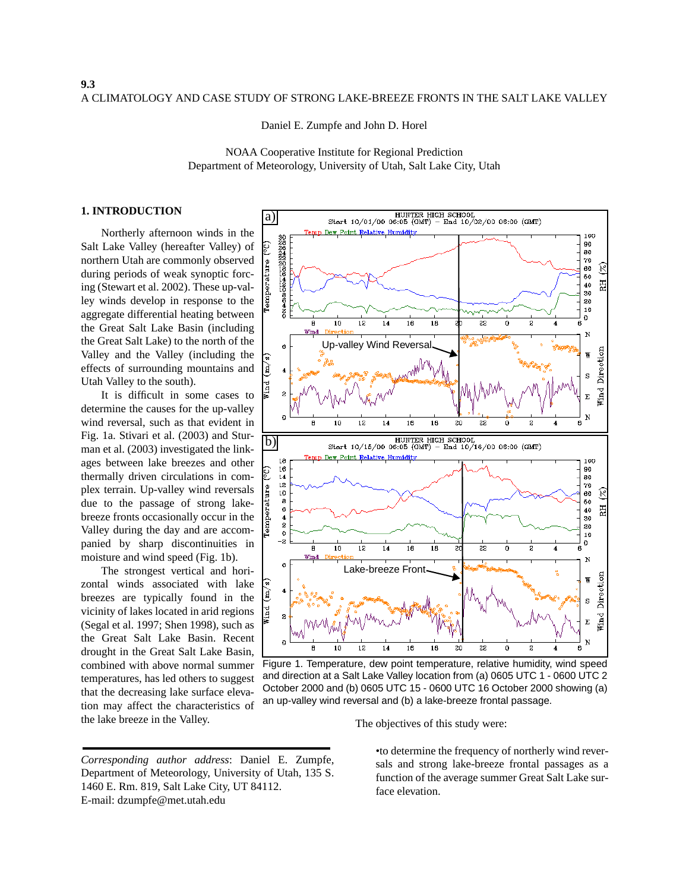Daniel E. Zumpfe and John D. Horel

NOAA Cooperative Institute for Regional Prediction Department of Meteorology, University of Utah, Salt Lake City, Utah

## **1. INTRODUCTION**

Northerly afternoon winds in the Salt Lake Valley (hereafter Valley) of northern Utah are commonly observed during periods of weak synoptic forcing (Stewart et al. 2002). These up-valley winds develop in response to the aggregate differential heating between the Great Salt Lake Basin (including the Great Salt Lake) to the north of the Valley and the Valley (including the effects of surrounding mountains and Utah Valley to the south).

It is difficult in some cases to determine the causes for the up-valley wind reversal, such as that evident in Fig. 1a. Stivari et al. (2003) and Sturman et al. (2003) investigated the linkages between lake breezes and other thermally driven circulations in complex terrain. Up-valley wind reversals due to the passage of strong lakebreeze fronts occasionally occur in the Valley during the day and are accompanied by sharp discontinuities in moisture and wind speed (Fig. 1b).

The strongest vertical and horizontal winds associated with lake breezes are typically found in the vicinity of lakes located in arid regions (Segal et al. 1997; Shen 1998), such as the Great Salt Lake Basin. Recent drought in the Great Salt Lake Basin, combined with above normal summer temperatures, has led others to suggest that the decreasing lake surface elevation may affect the characteristics of the lake breeze in the Valley. The objectives of this study were:



Figure 1. Temperature, dew point temperature, relative humidity, wind speed and direction at a Salt Lake Valley location from (a) 0605 UTC 1 - 0600 UTC 2 October 2000 and (b) 0605 UTC 15 - 0600 UTC 16 October 2000 showing (a) an up-valley wind reversal and (b) a lake-breeze frontal passage.

•to determine the frequency of northerly wind reversals and strong lake-breeze frontal passages as a function of the average summer Great Salt Lake surface elevation.

*Corresponding author address*: Daniel E. Zumpfe, Department of Meteorology, University of Utah, 135 S. 1460 E. Rm. 819, Salt Lake City, UT 84112. E-mail: dzumpfe@met.utah.edu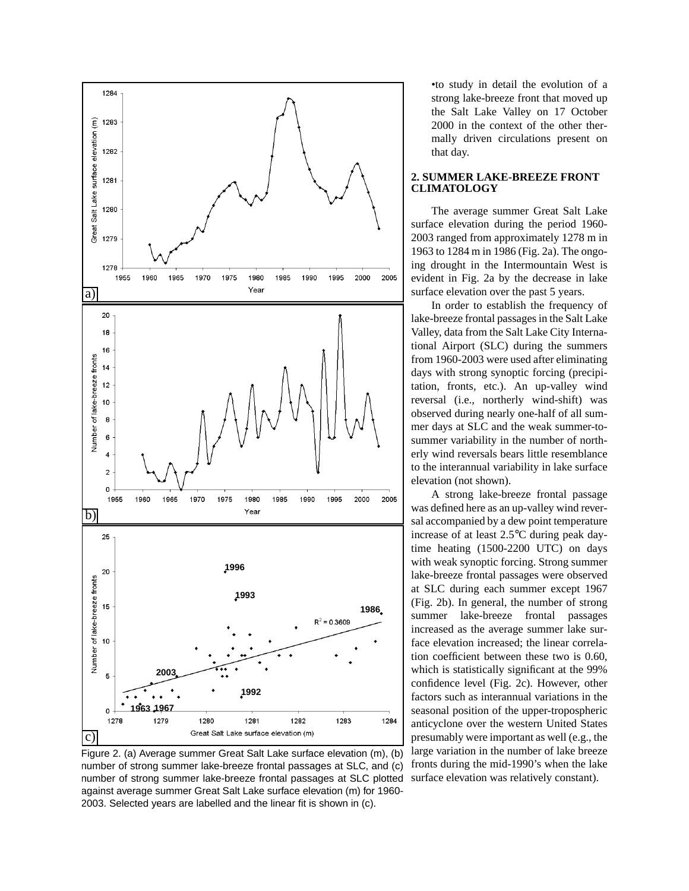

Figure 2. (a) Average summer Great Salt Lake surface elevation (m), (b) number of strong summer lake-breeze frontal passages at SLC, and (c) number of strong summer lake-breeze frontal passages at SLC plotted against average summer Great Salt Lake surface elevation (m) for 1960- 2003. Selected years are labelled and the linear fit is shown in (c).

•to study in detail the evolution of a strong lake-breeze front that moved up the Salt Lake Valley on 17 October 2000 in the context of the other thermally driven circulations present on that day.

# **2. SUMMER LAKE-BREEZE FRONT CLIMATOLOGY**

The average summer Great Salt Lake surface elevation during the period 1960- 2003 ranged from approximately 1278 m in 1963 to 1284 m in 1986 (Fig. 2a). The ongoing drought in the Intermountain West is evident in Fig. 2a by the decrease in lake surface elevation over the past 5 years.

In order to establish the frequency of lake-breeze frontal passages in the Salt Lake Valley, data from the Salt Lake City International Airport (SLC) during the summers from 1960-2003 were used after eliminating days with strong synoptic forcing (precipitation, fronts, etc.). An up-valley wind reversal (i.e., northerly wind-shift) was observed during nearly one-half of all summer days at SLC and the weak summer-tosummer variability in the number of northerly wind reversals bears little resemblance to the interannual variability in lake surface elevation (not shown).

A strong lake-breeze frontal passage was defined here as an up-valley wind reversal accompanied by a dew point temperature increase of at least 2.5°C during peak daytime heating (1500-2200 UTC) on days with weak synoptic forcing. Strong summer lake-breeze frontal passages were observed at SLC during each summer except 1967 (Fig. 2b). In general, the number of strong summer lake-breeze frontal passages increased as the average summer lake surface elevation increased; the linear correlation coefficient between these two is 0.60, which is statistically significant at the 99% confidence level (Fig. 2c). However, other factors such as interannual variations in the seasonal position of the upper-tropospheric anticyclone over the western United States presumably were important as well (e.g., the large variation in the number of lake breeze fronts during the mid-1990's when the lake surface elevation was relatively constant).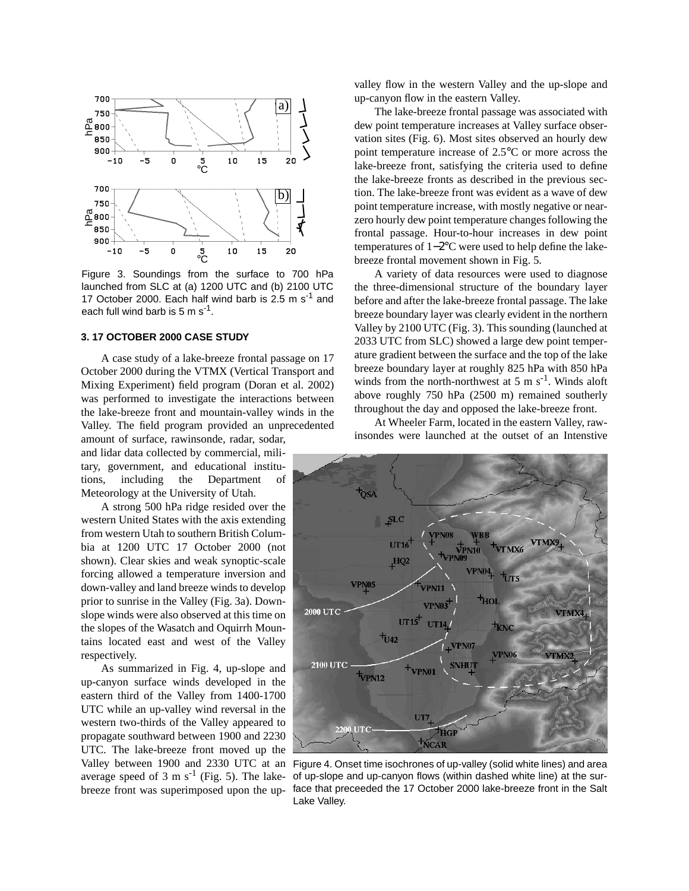

Figure 3. Soundings from the surface to 700 hPa launched from SLC at (a) 1200 UTC and (b) 2100 UTC 17 October 2000. Each half wind barb is 2.5 m s<sup>-1</sup> and each full wind barb is 5 m s<sup>-1</sup>.

#### **3. 17 OCTOBER 2000 CASE STUDY**

A case study of a lake-breeze frontal passage on 17 October 2000 during the VTMX (Vertical Transport and Mixing Experiment) field program (Doran et al. 2002) was performed to investigate the interactions between the lake-breeze front and mountain-valley winds in the Valley. The field program provided an unprecedented amount of surface, rawinsonde, radar, sodar,

and lidar data collected by commercial, military, government, and educational institutions, including the Department of Meteorology at the University of Utah.

A strong 500 hPa ridge resided over the western United States with the axis extending from western Utah to southern British Columbia at 1200 UTC 17 October 2000 (not shown). Clear skies and weak synoptic-scale forcing allowed a temperature inversion and down-valley and land breeze winds to develop prior to sunrise in the Valley (Fig. 3a). Downslope winds were also observed at this time on the slopes of the Wasatch and Oquirrh Mountains located east and west of the Valley respectively.

As summarized in Fig. 4, up-slope and up-canyon surface winds developed in the eastern third of the Valley from 1400-1700 UTC while an up-valley wind reversal in the western two-thirds of the Valley appeared to propagate southward between 1900 and 2230 UTC. The lake-breeze front moved up the average speed of 3 m  $s^{-1}$  (Fig. 5). The lakebreeze front was superimposed upon the upvalley flow in the western Valley and the up-slope and up-canyon flow in the eastern Valley.

The lake-breeze frontal passage was associated with dew point temperature increases at Valley surface observation sites (Fig. 6). Most sites observed an hourly dew point temperature increase of 2.5°C or more across the lake-breeze front, satisfying the criteria used to define the lake-breeze fronts as described in the previous section. The lake-breeze front was evident as a wave of dew point temperature increase, with mostly negative or nearzero hourly dew point temperature changes following the frontal passage. Hour-to-hour increases in dew point temperatures of 1−2°C were used to help define the lakebreeze frontal movement shown in Fig. 5.

A variety of data resources were used to diagnose the three-dimensional structure of the boundary layer before and after the lake-breeze frontal passage. The lake breeze boundary layer was clearly evident in the northern Valley by 2100 UTC (Fig. 3). This sounding (launched at 2033 UTC from SLC) showed a large dew point temperature gradient between the surface and the top of the lake breeze boundary layer at roughly 825 hPa with 850 hPa winds from the north-northwest at 5 m  $s^{-1}$ . Winds aloft above roughly 750 hPa (2500 m) remained southerly throughout the day and opposed the lake-breeze front.

At Wheeler Farm, located in the eastern Valley, rawinsondes were launched at the outset of an Intenstive



Valley between 1900 and 2330 UTC at an Figure 4. Onset time isochrones of up-valley (solid white lines) and area of up-slope and up-canyon flows (within dashed white line) at the surface that preceeded the 17 October 2000 lake-breeze front in the Salt Lake Valley.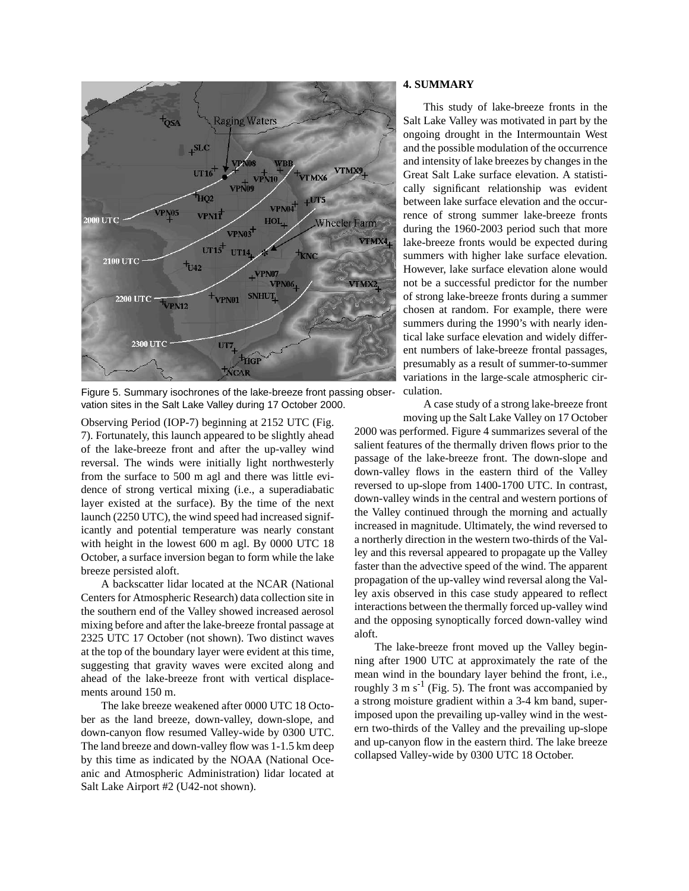

Figure 5. Summary isochrones of the lake-breeze front passing observation sites in the Salt Lake Valley during 17 October 2000.

Observing Period (IOP-7) beginning at 2152 UTC (Fig. 7). Fortunately, this launch appeared to be slightly ahead of the lake-breeze front and after the up-valley wind reversal. The winds were initially light northwesterly from the surface to 500 m agl and there was little evidence of strong vertical mixing (i.e., a superadiabatic layer existed at the surface). By the time of the next launch (2250 UTC), the wind speed had increased significantly and potential temperature was nearly constant with height in the lowest 600 m agl. By 0000 UTC 18 October, a surface inversion began to form while the lake breeze persisted aloft.

A backscatter lidar located at the NCAR (National Centers for Atmospheric Research) data collection site in the southern end of the Valley showed increased aerosol mixing before and after the lake-breeze frontal passage at 2325 UTC 17 October (not shown). Two distinct waves at the top of the boundary layer were evident at this time, suggesting that gravity waves were excited along and ahead of the lake-breeze front with vertical displacements around 150 m.

The lake breeze weakened after 0000 UTC 18 October as the land breeze, down-valley, down-slope, and down-canyon flow resumed Valley-wide by 0300 UTC. The land breeze and down-valley flow was 1-1.5 km deep by this time as indicated by the NOAA (National Oceanic and Atmospheric Administration) lidar located at Salt Lake Airport #2 (U42-not shown).

### **4. SUMMARY**

This study of lake-breeze fronts in the Salt Lake Valley was motivated in part by the ongoing drought in the Intermountain West and the possible modulation of the occurrence and intensity of lake breezes by changes in the Great Salt Lake surface elevation. A statistically significant relationship was evident between lake surface elevation and the occurrence of strong summer lake-breeze fronts during the 1960-2003 period such that more lake-breeze fronts would be expected during summers with higher lake surface elevation. However, lake surface elevation alone would not be a successful predictor for the number of strong lake-breeze fronts during a summer chosen at random. For example, there were summers during the 1990's with nearly identical lake surface elevation and widely different numbers of lake-breeze frontal passages, presumably as a result of summer-to-summer variations in the large-scale atmospheric circulation.

A case study of a strong lake-breeze front

moving up the Salt Lake Valley on 17 October 2000 was performed. Figure 4 summarizes several of the salient features of the thermally driven flows prior to the passage of the lake-breeze front. The down-slope and down-valley flows in the eastern third of the Valley reversed to up-slope from 1400-1700 UTC. In contrast, down-valley winds in the central and western portions of the Valley continued through the morning and actually increased in magnitude. Ultimately, the wind reversed to a northerly direction in the western two-thirds of the Valley and this reversal appeared to propagate up the Valley faster than the advective speed of the wind. The apparent propagation of the up-valley wind reversal along the Valley axis observed in this case study appeared to reflect interactions between the thermally forced up-valley wind and the opposing synoptically forced down-valley wind aloft.

The lake-breeze front moved up the Valley beginning after 1900 UTC at approximately the rate of the mean wind in the boundary layer behind the front, i.e., roughly 3 m  $s^{-1}$  (Fig. 5). The front was accompanied by a strong moisture gradient within a 3-4 km band, superimposed upon the prevailing up-valley wind in the western two-thirds of the Valley and the prevailing up-slope and up-canyon flow in the eastern third. The lake breeze collapsed Valley-wide by 0300 UTC 18 October.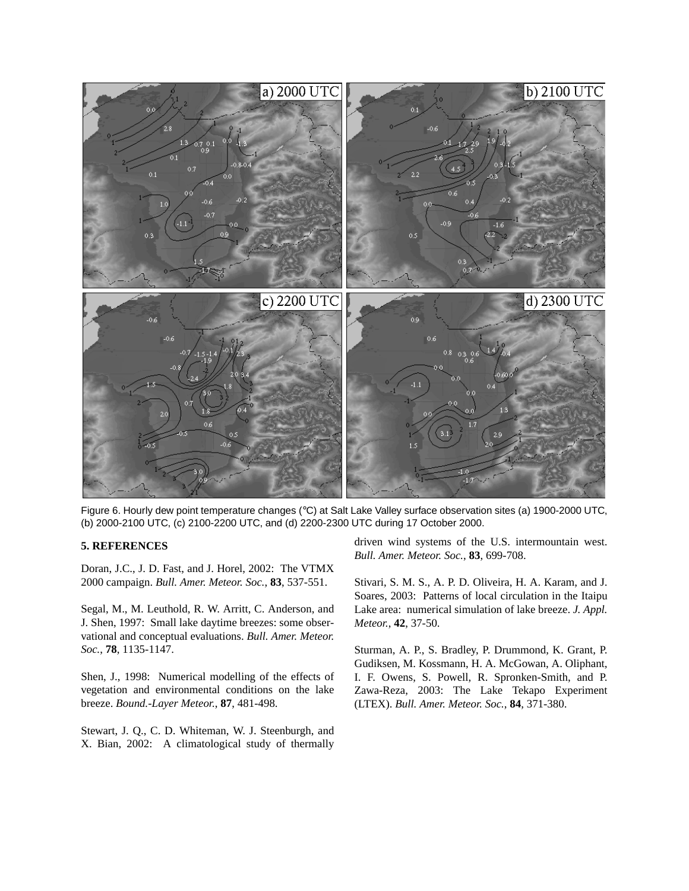

Figure 6. Hourly dew point temperature changes (°C) at Salt Lake Valley surface observation sites (a) 1900-2000 UTC, (b) 2000-2100 UTC, (c) 2100-2200 UTC, and (d) 2200-2300 UTC during 17 October 2000.

#### **5. REFERENCES**

Doran, J.C., J. D. Fast, and J. Horel, 2002: The VTMX 2000 campaign. *Bull. Amer. Meteor. Soc.*, **83**, 537-551.

Segal, M., M. Leuthold, R. W. Arritt, C. Anderson, and J. Shen, 1997: Small lake daytime breezes: some observational and conceptual evaluations. *Bull. Amer. Meteor. Soc.*, **78**, 1135-1147.

Shen, J., 1998: Numerical modelling of the effects of vegetation and environmental conditions on the lake breeze. *Bound.-Layer Meteor.*, **87**, 481-498.

Stewart, J. Q., C. D. Whiteman, W. J. Steenburgh, and X. Bian, 2002: A climatological study of thermally

driven wind systems of the U.S. intermountain west. *Bull. Amer. Meteor. Soc.*, **83**, 699-708.

Stivari, S. M. S., A. P. D. Oliveira, H. A. Karam, and J. Soares, 2003: Patterns of local circulation in the Itaipu Lake area: numerical simulation of lake breeze. *J. Appl. Meteor.*, **42**, 37-50.

Sturman, A. P., S. Bradley, P. Drummond, K. Grant, P. Gudiksen, M. Kossmann, H. A. McGowan, A. Oliphant, I. F. Owens, S. Powell, R. Spronken-Smith, and P. Zawa-Reza, 2003: The Lake Tekapo Experiment (LTEX). *Bull. Amer. Meteor. Soc.*, **84**, 371-380.